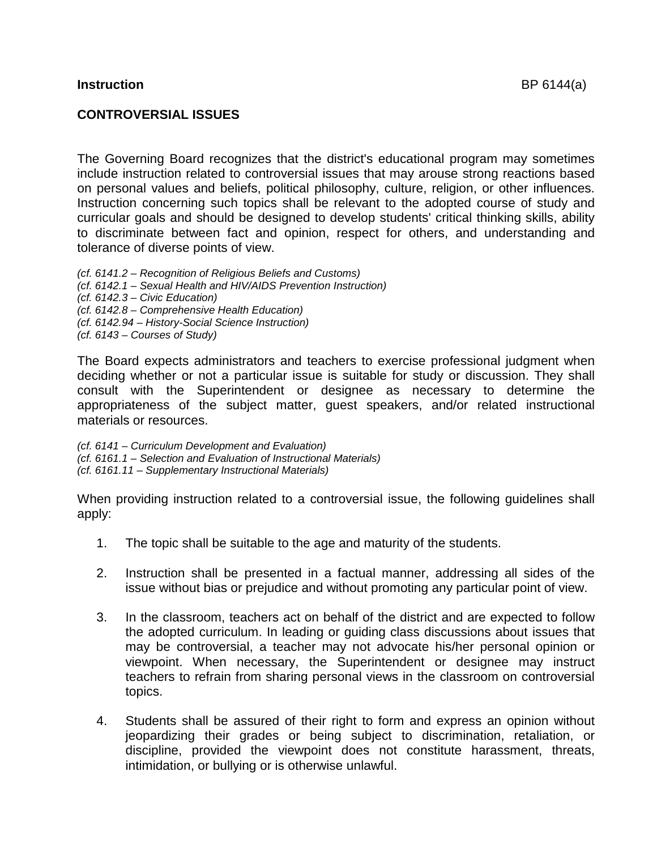## **Instruction** BP 6144(a)

## **CONTROVERSIAL ISSUES**

The Governing Board recognizes that the district's educational program may sometimes include instruction related to controversial issues that may arouse strong reactions based on personal values and beliefs, political philosophy, culture, religion, or other influences. Instruction concerning such topics shall be relevant to the adopted course of study and curricular goals and should be designed to develop students' critical thinking skills, ability to discriminate between fact and opinion, respect for others, and understanding and tolerance of diverse points of view.

*(cf. 6141.2 – Recognition of Religious Beliefs and Customs) (cf. 6142.1 – Sexual Health and HIV/AIDS Prevention Instruction) (cf. 6142.3 – Civic Education) (cf. 6142.8 – Comprehensive Health Education) (cf. 6142.94 – History-Social Science Instruction) (cf. 6143 – Courses of Study)* 

The Board expects administrators and teachers to exercise professional judgment when deciding whether or not a particular issue is suitable for study or discussion. They shall consult with the Superintendent or designee as necessary to determine the appropriateness of the subject matter, guest speakers, and/or related instructional materials or resources.

*(cf. 6141 – Curriculum Development and Evaluation) (cf. 6161.1 – Selection and Evaluation of Instructional Materials) (cf. 6161.11 – Supplementary Instructional Materials)* 

When providing instruction related to a controversial issue, the following guidelines shall apply:

- 1. The topic shall be suitable to the age and maturity of the students.
- 2. Instruction shall be presented in a factual manner, addressing all sides of the issue without bias or prejudice and without promoting any particular point of view.
- 3. In the classroom, teachers act on behalf of the district and are expected to follow the adopted curriculum. In leading or guiding class discussions about issues that may be controversial, a teacher may not advocate his/her personal opinion or viewpoint. When necessary, the Superintendent or designee may instruct teachers to refrain from sharing personal views in the classroom on controversial topics.
- 4. Students shall be assured of their right to form and express an opinion without jeopardizing their grades or being subject to discrimination, retaliation, or discipline, provided the viewpoint does not constitute harassment, threats, intimidation, or bullying or is otherwise unlawful.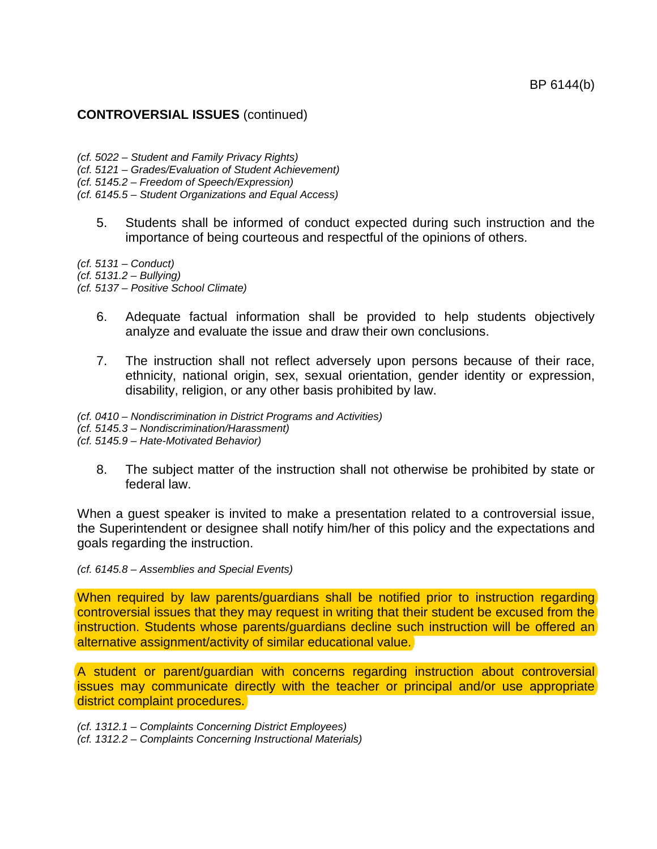## **CONTROVERSIAL ISSUES** (continued)

- *(cf. 5022 Student and Family Privacy Rights)*
- *(cf. 5121 Grades/Evaluation of Student Achievement)*
- *(cf. 5145.2 Freedom of Speech/Expression)*
- *(cf. 6145.5 Student Organizations and Equal Access)* 
	- 5. Students shall be informed of conduct expected during such instruction and the importance of being courteous and respectful of the opinions of others.

*(cf. 5131 – Conduct) (cf. 5131.2 – Bullying) (cf. 5137 – Positive School Climate)* 

- 6. Adequate factual information shall be provided to help students objectively analyze and evaluate the issue and draw their own conclusions.
- 7. The instruction shall not reflect adversely upon persons because of their race, ethnicity, national origin, sex, sexual orientation, gender identity or expression, disability, religion, or any other basis prohibited by law.

*(cf. 0410 – Nondiscrimination in District Programs and Activities) (cf. 5145.3 – Nondiscrimination/Harassment) (cf. 5145.9 – Hate-Motivated Behavior)* 

8. The subject matter of the instruction shall not otherwise be prohibited by state or federal law.

When a guest speaker is invited to make a presentation related to a controversial issue, the Superintendent or designee shall notify him/her of this policy and the expectations and goals regarding the instruction.

*(cf. 6145.8 – Assemblies and Special Events)* 

When required by law parents/quardians shall be notified prior to instruction regarding controversial issues that they may request in writing that their student be excused from the instruction. Students whose parents/guardians decline such instruction will be offered an alternative assignment/activity of similar educational value.

A student or parent/guardian with concerns regarding instruction about controversial issues may communicate directly with the teacher or principal and/or use appropriate district complaint procedures.

*(cf. 1312.1 – Complaints Concerning District Employees)* 

*(cf. 1312.2 – Complaints Concerning Instructional Materials)*